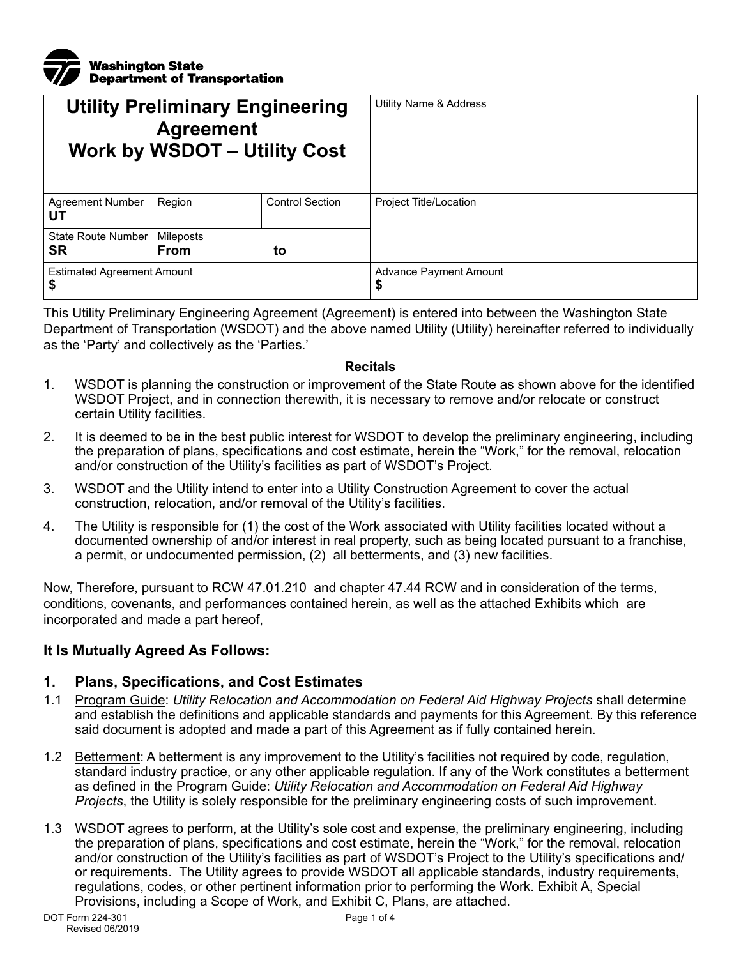

| <b>Utility Preliminary Engineering</b><br><b>Agreement</b><br><b>Work by WSDOT - Utility Cost</b> |                          |                        | <b>Utility Name &amp; Address</b> |
|---------------------------------------------------------------------------------------------------|--------------------------|------------------------|-----------------------------------|
| <b>Agreement Number</b><br>UТ                                                                     | Region                   | <b>Control Section</b> | Project Title/Location            |
| State Route Number<br>SR                                                                          | Mileposts<br><b>From</b> | to                     |                                   |
| <b>Estimated Agreement Amount</b><br>\$                                                           |                          |                        | Advance Payment Amount<br>\$      |

This Utility Preliminary Engineering Agreement (Agreement) is entered into between the Washington State Department of Transportation (WSDOT) and the above named Utility (Utility) hereinafter referred to individually as the 'Party' and collectively as the 'Parties.'

#### **Recitals**

- 1. WSDOT is planning the construction or improvement of the State Route as shown above for the identified WSDOT Project, and in connection therewith, it is necessary to remove and/or relocate or construct certain Utility facilities.
- 2. It is deemed to be in the best public interest for WSDOT to develop the preliminary engineering, including the preparation of plans, specifications and cost estimate, herein the "Work," for the removal, relocation and/or construction of the Utility's facilities as part of WSDOT's Project.
- 3. WSDOT and the Utility intend to enter into a Utility Construction Agreement to cover the actual construction, relocation, and/or removal of the Utility's facilities.
- 4. The Utility is responsible for (1) the cost of the Work associated with Utility facilities located without a documented ownership of and/or interest in real property, such as being located pursuant to a franchise, a permit, or undocumented permission, (2) all betterments, and (3) new facilities.

Now, Therefore, pursuant to RCW 47.01.210 and chapter 47.44 RCW and in consideration of the terms, conditions, covenants, and performances contained herein, as well as the attached Exhibits which are incorporated and made a part hereof,

### **It Is Mutually Agreed As Follows:**

### **1. Plans, Specifications, and Cost Estimates**

- 1.1 Program Guide: *Utility Relocation and Accommodation on Federal Aid Highway Projects* shall determine and establish the definitions and applicable standards and payments for this Agreement. By this reference said document is adopted and made a part of this Agreement as if fully contained herein.
- 1.2 Betterment: A betterment is any improvement to the Utility's facilities not required by code, regulation, standard industry practice, or any other applicable regulation. If any of the Work constitutes a betterment as defined in the Program Guide: *Utility Relocation and Accommodation on Federal Aid Highway Projects*, the Utility is solely responsible for the preliminary engineering costs of such improvement.
- 1.3 WSDOT agrees to perform, at the Utility's sole cost and expense, the preliminary engineering, including the preparation of plans, specifications and cost estimate, herein the "Work," for the removal, relocation and/or construction of the Utility's facilities as part of WSDOT's Project to the Utility's specifications and/ or requirements. The Utility agrees to provide WSDOT all applicable standards, industry requirements, regulations, codes, or other pertinent information prior to performing the Work. Exhibit A, Special Provisions, including a Scope of Work, and Exhibit C, Plans, are attached.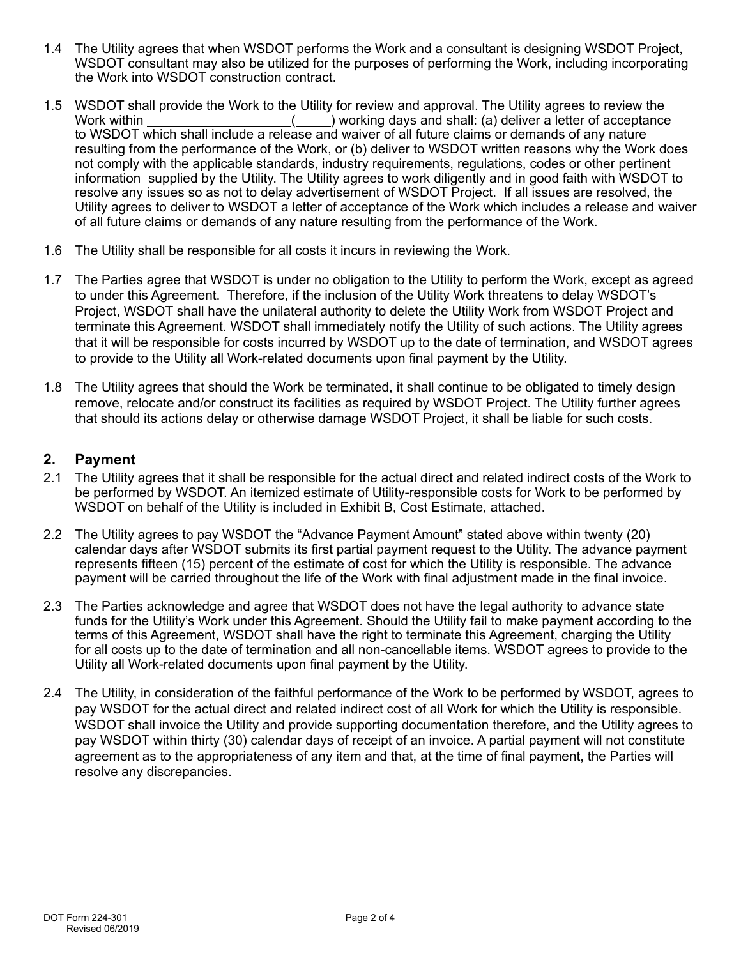- 1.4 The Utility agrees that when WSDOT performs the Work and a consultant is designing WSDOT Project, WSDOT consultant may also be utilized for the purposes of performing the Work, including incorporating the Work into WSDOT construction contract.
- 1.5 WSDOT shall provide the Work to the Utility for review and approval. The Utility agrees to review the Vility for review and approval. The Utility agrees to review the Vility for review and shall: (a) deliver a letter o  $($ ) working days and shall: (a) deliver a letter of acceptance to WSDOT which shall include a release and waiver of all future claims or demands of any nature resulting from the performance of the Work, or (b) deliver to WSDOT written reasons why the Work does not comply with the applicable standards, industry requirements, regulations, codes or other pertinent information supplied by the Utility. The Utility agrees to work diligently and in good faith with WSDOT to resolve any issues so as not to delay advertisement of WSDOT Project. If all issues are resolved, the Utility agrees to deliver to WSDOT a letter of acceptance of the Work which includes a release and waiver of all future claims or demands of any nature resulting from the performance of the Work.
- 1.6 The Utility shall be responsible for all costs it incurs in reviewing the Work.
- 1.7 The Parties agree that WSDOT is under no obligation to the Utility to perform the Work, except as agreed to under this Agreement. Therefore, if the inclusion of the Utility Work threatens to delay WSDOT's Project, WSDOT shall have the unilateral authority to delete the Utility Work from WSDOT Project and terminate this Agreement. WSDOT shall immediately notify the Utility of such actions. The Utility agrees that it will be responsible for costs incurred by WSDOT up to the date of termination, and WSDOT agrees to provide to the Utility all Work-related documents upon final payment by the Utility.
- 1.8 The Utility agrees that should the Work be terminated, it shall continue to be obligated to timely design remove, relocate and/or construct its facilities as required by WSDOT Project. The Utility further agrees that should its actions delay or otherwise damage WSDOT Project, it shall be liable for such costs.

### **2. Payment**

- 2.1 The Utility agrees that it shall be responsible for the actual direct and related indirect costs of the Work to be performed by WSDOT. An itemized estimate of Utility-responsible costs for Work to be performed by WSDOT on behalf of the Utility is included in Exhibit B, Cost Estimate, attached.
- 2.2 The Utility agrees to pay WSDOT the "Advance Payment Amount" stated above within twenty (20) calendar days after WSDOT submits its first partial payment request to the Utility. The advance payment represents fifteen (15) percent of the estimate of cost for which the Utility is responsible. The advance payment will be carried throughout the life of the Work with final adjustment made in the final invoice.
- 2.3 The Parties acknowledge and agree that WSDOT does not have the legal authority to advance state funds for the Utility's Work under this Agreement. Should the Utility fail to make payment according to the terms of this Agreement, WSDOT shall have the right to terminate this Agreement, charging the Utility for all costs up to the date of termination and all non-cancellable items. WSDOT agrees to provide to the Utility all Work-related documents upon final payment by the Utility.
- 2.4 The Utility, in consideration of the faithful performance of the Work to be performed by WSDOT, agrees to pay WSDOT for the actual direct and related indirect cost of all Work for which the Utility is responsible. WSDOT shall invoice the Utility and provide supporting documentation therefore, and the Utility agrees to pay WSDOT within thirty (30) calendar days of receipt of an invoice. A partial payment will not constitute agreement as to the appropriateness of any item and that, at the time of final payment, the Parties will resolve any discrepancies.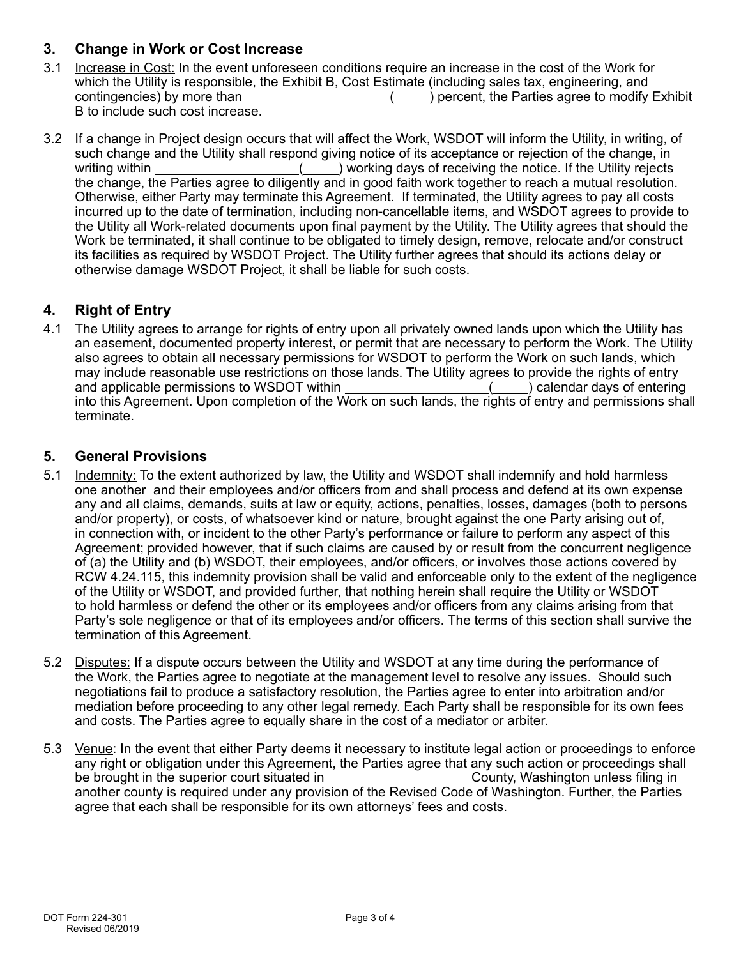## **3. Change in Work or Cost Increase**

- 3.1 Increase in Cost: In the event unforeseen conditions require an increase in the cost of the Work for which the Utility is responsible, the Exhibit B, Cost Estimate (including sales tax, engineering, and contingencies) by more than ( ) percent, the Parties agree to modify Exhibit B to include such cost increase.
- 3.2 If a change in Project design occurs that will affect the Work, WSDOT will inform the Utility, in writing, of such change and the Utility shall respond giving notice of its acceptance or rejection of the change, in writing within  $($  ) working days of receiving the notice. If the Utility rejects the change, the Parties agree to diligently and in good faith work together to reach a mutual resolution. Otherwise, either Party may terminate this Agreement. If terminated, the Utility agrees to pay all costs incurred up to the date of termination, including non-cancellable items, and WSDOT agrees to provide to the Utility all Work-related documents upon final payment by the Utility. The Utility agrees that should the Work be terminated, it shall continue to be obligated to timely design, remove, relocate and/or construct its facilities as required by WSDOT Project. The Utility further agrees that should its actions delay or otherwise damage WSDOT Project, it shall be liable for such costs.

# **4. Right of Entry**

4.1 The Utility agrees to arrange for rights of entry upon all privately owned lands upon which the Utility has an easement, documented property interest, or permit that are necessary to perform the Work. The Utility also agrees to obtain all necessary permissions for WSDOT to perform the Work on such lands, which may include reasonable use restrictions on those lands. The Utility agrees to provide the rights of entry and applicable permissions to WSDOT within  $($ ) calendar days of entering into this Agreement. Upon completion of the Work on such lands, the rights of entry and permissions shall terminate.

### **5. General Provisions**

- 5.1 Indemnity: To the extent authorized by law, the Utility and WSDOT shall indemnify and hold harmless one another and their employees and/or officers from and shall process and defend at its own expense any and all claims, demands, suits at law or equity, actions, penalties, losses, damages (both to persons and/or property), or costs, of whatsoever kind or nature, brought against the one Party arising out of, in connection with, or incident to the other Party's performance or failure to perform any aspect of this Agreement; provided however, that if such claims are caused by or result from the concurrent negligence of (a) the Utility and (b) WSDOT, their employees, and/or officers, or involves those actions covered by RCW 4.24.115, this indemnity provision shall be valid and enforceable only to the extent of the negligence of the Utility or WSDOT, and provided further, that nothing herein shall require the Utility or WSDOT to hold harmless or defend the other or its employees and/or officers from any claims arising from that Party's sole negligence or that of its employees and/or officers. The terms of this section shall survive the termination of this Agreement.
- 5.2 Disputes: If a dispute occurs between the Utility and WSDOT at any time during the performance of the Work, the Parties agree to negotiate at the management level to resolve any issues. Should such negotiations fail to produce a satisfactory resolution, the Parties agree to enter into arbitration and/or mediation before proceeding to any other legal remedy. Each Party shall be responsible for its own fees and costs. The Parties agree to equally share in the cost of a mediator or arbiter.
- 5.3 Venue: In the event that either Party deems it necessary to institute legal action or proceedings to enforce any right or obligation under this Agreement, the Parties agree that any such action or proceedings shall be brought in the superior court situated in be brought in the superior court situated in another county is required under any provision of the Revised Code of Washington. Further, the Parties agree that each shall be responsible for its own attorneys' fees and costs.